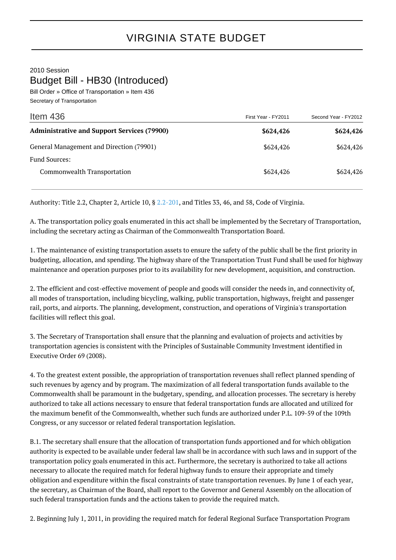2010 Session Budget Bill - HB30 (Introduced)

Bill Order » Office of Transportation » Item 436 Secretary of Transportation

| Item $436$                                         | First Year - FY2011 | Second Year - FY2012 |
|----------------------------------------------------|---------------------|----------------------|
| <b>Administrative and Support Services (79900)</b> | \$624,426           | \$624,426            |
| General Management and Direction (79901)           | \$624,426           | \$624,426            |
| <b>Fund Sources:</b>                               |                     |                      |
| Commonwealth Transportation                        | \$624,426           | \$624,426            |

Authority: Title 2.2, Chapter 2, Article 10, § [2.2-201,](http://law.lis.virginia.gov/vacode/2.2-201/) and Titles 33, 46, and 58, Code of Virginia.

A. The transportation policy goals enumerated in this act shall be implemented by the Secretary of Transportation, including the secretary acting as Chairman of the Commonwealth Transportation Board.

1. The maintenance of existing transportation assets to ensure the safety of the public shall be the first priority in budgeting, allocation, and spending. The highway share of the Transportation Trust Fund shall be used for highway maintenance and operation purposes prior to its availability for new development, acquisition, and construction.

2. The efficient and cost-effective movement of people and goods will consider the needs in, and connectivity of, all modes of transportation, including bicycling, walking, public transportation, highways, freight and passenger rail, ports, and airports. The planning, development, construction, and operations of Virginia's transportation facilities will reflect this goal.

3. The Secretary of Transportation shall ensure that the planning and evaluation of projects and activities by transportation agencies is consistent with the Principles of Sustainable Community Investment identified in Executive Order 69 (2008).

4. To the greatest extent possible, the appropriation of transportation revenues shall reflect planned spending of such revenues by agency and by program. The maximization of all federal transportation funds available to the Commonwealth shall be paramount in the budgetary, spending, and allocation processes. The secretary is hereby authorized to take all actions necessary to ensure that federal transportation funds are allocated and utilized for the maximum benefit of the Commonwealth, whether such funds are authorized under P.L. 109-59 of the 109th Congress, or any successor or related federal transportation legislation.

B.1. The secretary shall ensure that the allocation of transportation funds apportioned and for which obligation authority is expected to be available under federal law shall be in accordance with such laws and in support of the transportation policy goals enumerated in this act. Furthermore, the secretary is authorized to take all actions necessary to allocate the required match for federal highway funds to ensure their appropriate and timely obligation and expenditure within the fiscal constraints of state transportation revenues. By June 1 of each year, the secretary, as Chairman of the Board, shall report to the Governor and General Assembly on the allocation of such federal transportation funds and the actions taken to provide the required match.

2. Beginning July 1, 2011, in providing the required match for federal Regional Surface Transportation Program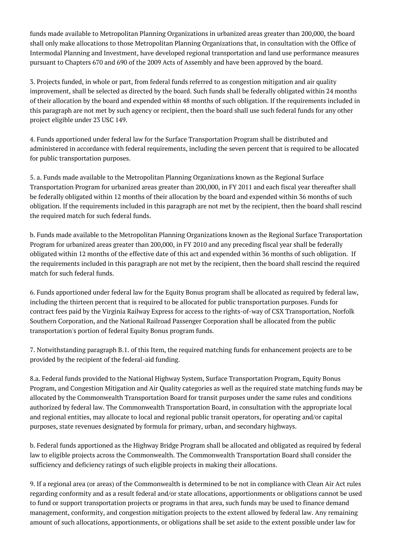funds made available to Metropolitan Planning Organizations in urbanized areas greater than 200,000, the board shall only make allocations to those Metropolitan Planning Organizations that, in consultation with the Office of Intermodal Planning and Investment, have developed regional transportation and land use performance measures pursuant to Chapters 670 and 690 of the 2009 Acts of Assembly and have been approved by the board.

3. Projects funded, in whole or part, from federal funds referred to as congestion mitigation and air quality improvement, shall be selected as directed by the board. Such funds shall be federally obligated within 24 months of their allocation by the board and expended within 48 months of such obligation. If the requirements included in this paragraph are not met by such agency or recipient, then the board shall use such federal funds for any other project eligible under 23 USC 149.

4. Funds apportioned under federal law for the Surface Transportation Program shall be distributed and administered in accordance with federal requirements, including the seven percent that is required to be allocated for public transportation purposes.

5. a. Funds made available to the Metropolitan Planning Organizations known as the Regional Surface Transportation Program for urbanized areas greater than 200,000, in FY 2011 and each fiscal year thereafter shall be federally obligated within 12 months of their allocation by the board and expended within 36 months of such obligation. If the requirements included in this paragraph are not met by the recipient, then the board shall rescind the required match for such federal funds.

b. Funds made available to the Metropolitan Planning Organizations known as the Regional Surface Transportation Program for urbanized areas greater than 200,000, in FY 2010 and any preceding fiscal year shall be federally obligated within 12 months of the effective date of this act and expended within 36 months of such obligation. If the requirements included in this paragraph are not met by the recipient, then the board shall rescind the required match for such federal funds.

6. Funds apportioned under federal law for the Equity Bonus program shall be allocated as required by federal law, including the thirteen percent that is required to be allocated for public transportation purposes. Funds for contract fees paid by the Virginia Railway Express for access to the rights-of-way of CSX Transportation, Norfolk Southern Corporation, and the National Railroad Passenger Corporation shall be allocated from the public transportation's portion of federal Equity Bonus program funds.

7. Notwithstanding paragraph B.1. of this Item, the required matching funds for enhancement projects are to be provided by the recipient of the federal-aid funding.

8.a. Federal funds provided to the National Highway System, Surface Transportation Program, Equity Bonus Program, and Congestion Mitigation and Air Quality categories as well as the required state matching funds may be allocated by the Commonwealth Transportation Board for transit purposes under the same rules and conditions authorized by federal law. The Commonwealth Transportation Board, in consultation with the appropriate local and regional entities, may allocate to local and regional public transit operators, for operating and/or capital purposes, state revenues designated by formula for primary, urban, and secondary highways.

b. Federal funds apportioned as the Highway Bridge Program shall be allocated and obligated as required by federal law to eligible projects across the Commonwealth. The Commonwealth Transportation Board shall consider the sufficiency and deficiency ratings of such eligible projects in making their allocations.

9. If a regional area (or areas) of the Commonwealth is determined to be not in compliance with Clean Air Act rules regarding conformity and as a result federal and/or state allocations, apportionments or obligations cannot be used to fund or support transportation projects or programs in that area, such funds may be used to finance demand management, conformity, and congestion mitigation projects to the extent allowed by federal law. Any remaining amount of such allocations, apportionments, or obligations shall be set aside to the extent possible under law for